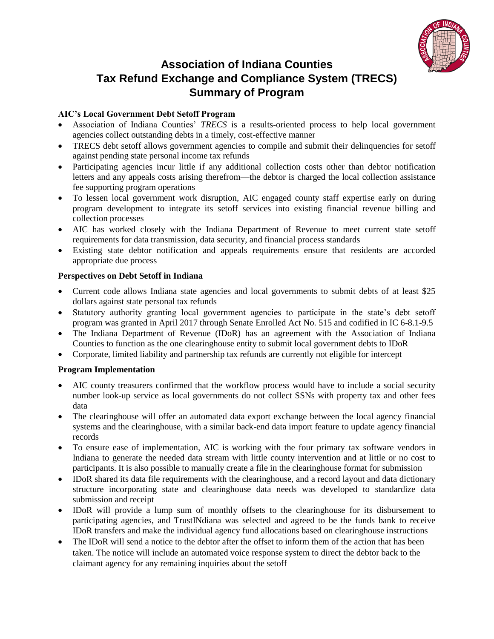

# **Association of Indiana Counties Tax Refund Exchange and Compliance System (TRECS) Summary of Program**

## **AIC's Local Government Debt Setoff Program**

- Association of Indiana Counties' *TRECS* is a results-oriented process to help local government agencies collect outstanding debts in a timely, cost-effective manner
- TRECS debt setoff allows government agencies to compile and submit their delinquencies for setoff against pending state personal income tax refunds
- Participating agencies incur little if any additional collection costs other than debtor notification letters and any appeals costs arising therefrom—the debtor is charged the local collection assistance fee supporting program operations
- To lessen local government work disruption, AIC engaged county staff expertise early on during program development to integrate its setoff services into existing financial revenue billing and collection processes
- AIC has worked closely with the Indiana Department of Revenue to meet current state setoff requirements for data transmission, data security, and financial process standards
- Existing state debtor notification and appeals requirements ensure that residents are accorded appropriate due process

## **Perspectives on Debt Setoff in Indiana**

- Current code allows Indiana state agencies and local governments to submit debts of at least \$25 dollars against state personal tax refunds
- Statutory authority granting local government agencies to participate in the state's debt setoff program was granted in April 2017 through Senate Enrolled Act No. 515 and codified in IC 6-8.1-9.5
- The Indiana Department of Revenue (IDoR) has an agreement with the Association of Indiana Counties to function as the one clearinghouse entity to submit local government debts to IDoR
- Corporate, limited liability and partnership tax refunds are currently not eligible for intercept

## **Program Implementation**

- AIC county treasurers confirmed that the workflow process would have to include a social security number look-up service as local governments do not collect SSNs with property tax and other fees data
- The clearinghouse will offer an automated data export exchange between the local agency financial systems and the clearinghouse, with a similar back-end data import feature to update agency financial records
- To ensure ease of implementation, AIC is working with the four primary tax software vendors in Indiana to generate the needed data stream with little county intervention and at little or no cost to participants. It is also possible to manually create a file in the clearinghouse format for submission
- IDoR shared its data file requirements with the clearinghouse, and a record layout and data dictionary structure incorporating state and clearinghouse data needs was developed to standardize data submission and receipt
- IDoR will provide a lump sum of monthly offsets to the clearinghouse for its disbursement to participating agencies, and TrustINdiana was selected and agreed to be the funds bank to receive IDoR transfers and make the individual agency fund allocations based on clearinghouse instructions
- The IDoR will send a notice to the debtor after the offset to inform them of the action that has been taken. The notice will include an automated voice response system to direct the debtor back to the claimant agency for any remaining inquiries about the setoff